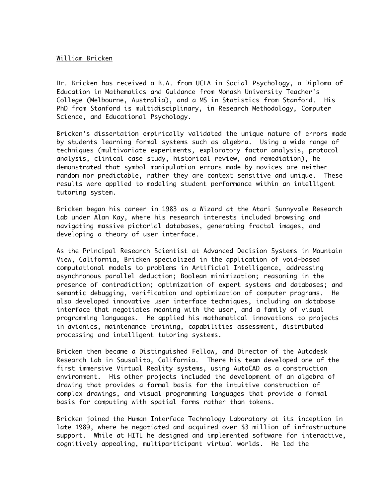## William Bricken

Dr. Bricken has received a B.A. from UCLA in Social Psychology, a Diploma of Education in Mathematics and Guidance from Monash University Teacher's College (Melbourne, Australia), and a MS in Statistics from Stanford. His PhD from Stanford is multidisciplinary, in Research Methodology, Computer Science, and Educational Psychology.

Bricken's dissertation empirically validated the unique nature of errors made by students learning formal systems such as algebra. Using a wide range of techniques (multivariate experiments, exploratory factor analysis, protocol analysis, clinical case study, historical review, and remediation), he demonstrated that symbol manipulation errors made by novices are neither random nor predictable, rather they are context sensitive and unique. These results were applied to modeling student performance within an intelligent tutoring system.

Bricken began his career in 1983 as a Wizard at the Atari Sunnyvale Research Lab under Alan Kay, where his research interests included browsing and navigating massive pictorial databases, generating fractal images, and developing a theory of user interface.

As the Principal Research Scientist at Advanced Decision Systems in Mountain View, California, Bricken specialized in the application of void-based computational models to problems in Artificial Intelligence, addressing asynchronous parallel deduction; Boolean minimization; reasoning in the presence of contradiction; optimization of expert systems and databases; and semantic debugging, verification and optimization of computer programs. He also developed innovative user interface techniques, including an database interface that negotiates meaning with the user, and a family of visual programming languages. He applied his mathematical innovations to projects in avionics, maintenance training, capabilities assessment, distributed processing and intelligent tutoring systems.

Bricken then became a Distinguished Fellow, and Director of the Autodesk Research Lab in Sausalito, California. There his team developed one of the first immersive Virtual Reality systems, using AutoCAD as a construction environment. His other projects included the development of an algebra of drawing that provides a formal basis for the intuitive construction of complex drawings, and visual programming languages that provide a formal basis for computing with spatial forms rather than tokens.

Bricken joined the Human Interface Technology Laboratory at its inception in late 1989, where he negotiated and acquired over \$3 million of infrastructure support. While at HITL he designed and implemented software for interactive, cognitively appealing, multiparticipant virtual worlds. He led the